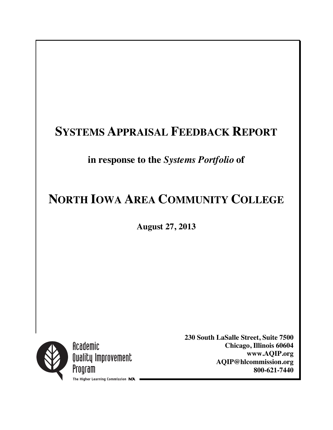# **SYSTEMS APPRAISAL FEEDBACK REPORT**

# **in response to the** *Systems Portfolio* **of**

# **NORTH IOWA AREA COMMUNITY COLLEGE**

**August 27, 2013**



Academic Quality Improvement Program The Higher Learning Commission NCA **230 South LaSalle Street, Suite 7500 Chicago, Illinois 60604 www.AQIP.org AQIP@hlcommission.org 800-621-7440**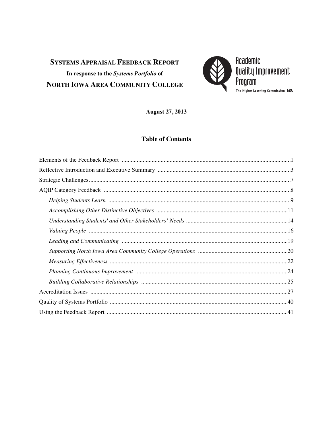# **SYSTEMS APPRAISAL FEEDBACK REPORT** In response to the Systems Portfolio of NORTH IOWA AREA COMMUNITY COLLEGE



**August 27, 2013** 

#### **Table of Contents**

| Elements of the Feedback Report manufactured and the real part of the Feedback Report manufactured and the set |
|----------------------------------------------------------------------------------------------------------------|
|                                                                                                                |
|                                                                                                                |
|                                                                                                                |
|                                                                                                                |
|                                                                                                                |
|                                                                                                                |
|                                                                                                                |
|                                                                                                                |
|                                                                                                                |
|                                                                                                                |
|                                                                                                                |
|                                                                                                                |
|                                                                                                                |
|                                                                                                                |
|                                                                                                                |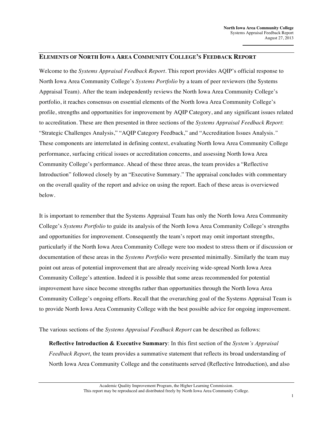#### **ELEMENTS OF NORTH IOWA AREA COMMUNITY COLLEGE'S FEEDBACK REPORT**

Welcome to the *Systems Appraisal Feedback Report*. This report provides AQIP's official response to North Iowa Area Community College's *Systems Portfolio* by a team of peer reviewers (the Systems Appraisal Team). After the team independently reviews the North Iowa Area Community College's portfolio, it reaches consensus on essential elements of the North Iowa Area Community College's profile, strengths and opportunities for improvement by AQIP Category, and any significant issues related to accreditation. These are then presented in three sections of the *Systems Appraisal Feedback Report*: "Strategic Challenges Analysis," "AQIP Category Feedback," and "Accreditation Issues Analysis*."* These components are interrelated in defining context, evaluating North Iowa Area Community College performance, surfacing critical issues or accreditation concerns, and assessing North Iowa Area Community College's performance. Ahead of these three areas, the team provides a "Reflective Introduction" followed closely by an "Executive Summary." The appraisal concludes with commentary on the overall quality of the report and advice on using the report. Each of these areas is overviewed below.

It is important to remember that the Systems Appraisal Team has only the North Iowa Area Community College's *Systems Portfolio* to guide its analysis of the North Iowa Area Community College's strengths and opportunities for improvement. Consequently the team's report may omit important strengths, particularly if the North Iowa Area Community College were too modest to stress them or if discussion or documentation of these areas in the *Systems Portfolio* were presented minimally. Similarly the team may point out areas of potential improvement that are already receiving wide-spread North Iowa Area Community College's attention. Indeed it is possible that some areas recommended for potential improvement have since become strengths rather than opportunities through the North Iowa Area Community College's ongoing efforts. Recall that the overarching goal of the Systems Appraisal Team is to provide North Iowa Area Community College with the best possible advice for ongoing improvement.

The various sections of the *Systems Appraisal Feedback Report* can be described as follows:

**Reflective Introduction & Executive Summary**: In this first section of the *System's Appraisal Feedback Report*, the team provides a summative statement that reflects its broad understanding of North Iowa Area Community College and the constituents served (Reflective Introduction), and also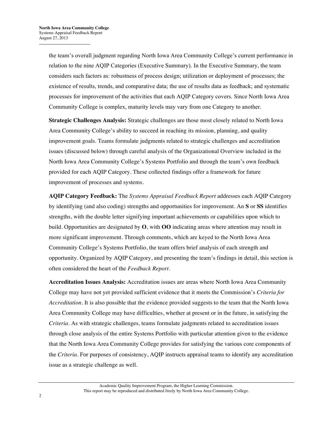the team's overall judgment regarding North Iowa Area Community College's current performance in relation to the nine AQIP Categories (Executive Summary). In the Executive Summary, the team considers such factors as: robustness of process design; utilization or deployment of processes; the existence of results, trends, and comparative data; the use of results data as feedback; and systematic processes for improvement of the activities that each AQIP Category covers. Since North Iowa Area Community College is complex, maturity levels may vary from one Category to another.

**Strategic Challenges Analysis:** Strategic challenges are those most closely related to North Iowa Area Community College's ability to succeed in reaching its mission, planning, and quality improvement goals. Teams formulate judgments related to strategic challenges and accreditation issues (discussed below) through careful analysis of the Organizational Overview included in the North Iowa Area Community College's Systems Portfolio and through the team's own feedback provided for each AQIP Category. These collected findings offer a framework for future improvement of processes and systems.

**AQIP Category Feedback:** The *Systems Appraisal Feedback Report* addresses each AQIP Category by identifying (and also coding) strengths and opportunities for improvement. An **S** or **SS** identifies strengths, with the double letter signifying important achievements or capabilities upon which to build. Opportunities are designated by **O**, with **OO** indicating areas where attention may result in more significant improvement. Through comments, which are keyed to the North Iowa Area Community College's Systems Portfolio, the team offers brief analysis of each strength and opportunity. Organized by AQIP Category, and presenting the team's findings in detail, this section is often considered the heart of the *Feedback Report*.

**Accreditation Issues Analysis:** Accreditation issues are areas where North Iowa Area Community College may have not yet provided sufficient evidence that it meets the Commission's *Criteria for Accreditation*. It is also possible that the evidence provided suggests to the team that the North Iowa Area Community College may have difficulties, whether at present or in the future, in satisfying the *Criteria*. As with strategic challenges, teams formulate judgments related to accreditation issues through close analysis of the entire Systems Portfolio with particular attention given to the evidence that the North Iowa Area Community College provides for satisfying the various core components of the *Criteria*. For purposes of consistency, AQIP instructs appraisal teams to identify any accreditation issue as a strategic challenge as well.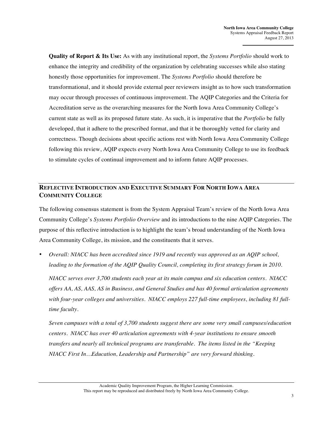**Quality of Report & Its Use:** As with any institutional report, the *Systems Portfolio* should work to enhance the integrity and credibility of the organization by celebrating successes while also stating honestly those opportunities for improvement. The *Systems Portfolio* should therefore be transformational, and it should provide external peer reviewers insight as to how such transformation may occur through processes of continuous improvement. The AQIP Categories and the Criteria for Accreditation serve as the overarching measures for the North Iowa Area Community College's current state as well as its proposed future state. As such, it is imperative that the *Portfolio* be fully developed, that it adhere to the prescribed format, and that it be thoroughly vetted for clarity and correctness. Though decisions about specific actions rest with North Iowa Area Community College following this review, AQIP expects every North Iowa Area Community College to use its feedback to stimulate cycles of continual improvement and to inform future AQIP processes.

#### **REFLECTIVE INTRODUCTION AND EXECUTIVE SUMMARY FOR NORTH IOWA AREA COMMUNITY COLLEGE**

The following consensus statement is from the System Appraisal Team's review of the North Iowa Area Community College's *Systems Portfolio Overview* and its introductions to the nine AQIP Categories. The purpose of this reflective introduction is to highlight the team's broad understanding of the North Iowa Area Community College, its mission, and the constituents that it serves.

• *Overall: NIACC has been accredited since 1919 and recently was approved as an AQIP school,*  leading to the formation of the AQIP Quality Council, completing its first strategy forum in 2010.

*NIACC serves over 3,700 students each year at its main campus and six education centers. NIACC offers AA, AS, AAS, AS in Business, and General Studies and has 40 formal articulation agreements with four-year colleges and universities. NIACC employs 227 full-time employees, including 81 fulltime faculty.*

*Seven campuses with a total of 3,700 students suggest there are some very small campuses/education centers. NIACC has over 40 articulation agreements with 4-year institutions to ensure smooth transfers and nearly all technical programs are transferable. The items listed in the "Keeping NIACC First In…Education, Leadership and Partnership" are very forward thinking.*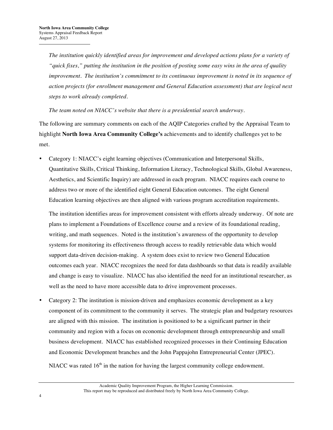*The institution quickly identified areas for improvement and developed actions plans for a variety of "quick fixes," putting the institution in the position of posting some easy wins in the area of quality improvement. The institution's commitment to its continuous improvement is noted in its sequence of action projects (for enrollment management and General Education assessment) that are logical next steps to work already completed.*

*The team noted on NIACC's website that there is a presidential search underway.*

The following are summary comments on each of the AQIP Categories crafted by the Appraisal Team to highlight **North Iowa Area Community College's** achievements and to identify challenges yet to be met.

• Category 1: NIACC's eight learning objectives (Communication and Interpersonal Skills, Quantitative Skills, Critical Thinking, Information Literacy, Technological Skills, Global Awareness, Aesthetics, and Scientific Inquiry) are addressed in each program. NIACC requires each course to address two or more of the identified eight General Education outcomes. The eight General Education learning objectives are then aligned with various program accreditation requirements.

The institution identifies areas for improvement consistent with efforts already underway. Of note are plans to implement a Foundations of Excellence course and a review of its foundational reading, writing, and math sequences. Noted is the institution's awareness of the opportunity to develop systems for monitoring its effectiveness through access to readily retrievable data which would support data-driven decision-making. A system does exist to review two General Education outcomes each year. NIACC recognizes the need for data dashboards so that data is readily available and change is easy to visualize. NIACC has also identified the need for an institutional researcher, as well as the need to have more accessible data to drive improvement processes.

• Category 2: The institution is mission-driven and emphasizes economic development as a key component of its commitment to the community it serves. The strategic plan and budgetary resources are aligned with this mission. The institution is positioned to be a significant partner in their community and region with a focus on economic development through entrepreneurship and small business development. NIACC has established recognized processes in their Continuing Education and Economic Development branches and the John Pappajohn Entrepreneurial Center (JPEC).

NIACC was rated  $16<sup>th</sup>$  in the nation for having the largest community college endowment.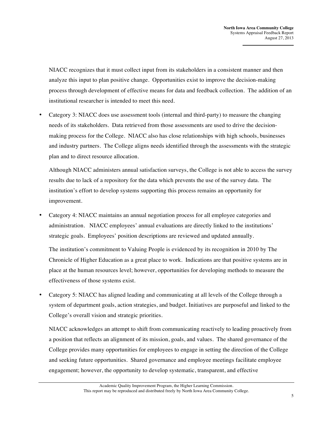NIACC recognizes that it must collect input from its stakeholders in a consistent manner and then analyze this input to plan positive change. Opportunities exist to improve the decision-making process through development of effective means for data and feedback collection. The addition of an institutional researcher is intended to meet this need.

• Category 3: NIACC does use assessment tools (internal and third-party) to measure the changing needs of its stakeholders. Data retrieved from those assessments are used to drive the decisionmaking process for the College. NIACC also has close relationships with high schools, businesses and industry partners. The College aligns needs identified through the assessments with the strategic plan and to direct resource allocation.

Although NIACC administers annual satisfaction surveys, the College is not able to access the survey results due to lack of a repository for the data which prevents the use of the survey data. The institution's effort to develop systems supporting this process remains an opportunity for improvement.

• Category 4: NIACC maintains an annual negotiation process for all employee categories and administration. NIACC employees' annual evaluations are directly linked to the institutions' strategic goals. Employees' position descriptions are reviewed and updated annually.

The institution's commitment to Valuing People is evidenced by its recognition in 2010 by The Chronicle of Higher Education as a great place to work. Indications are that positive systems are in place at the human resources level; however, opportunities for developing methods to measure the effectiveness of those systems exist.

• Category 5: NIACC has aligned leading and communicating at all levels of the College through a system of department goals, action strategies, and budget. Initiatives are purposeful and linked to the College's overall vision and strategic priorities.

NIACC acknowledges an attempt to shift from communicating reactively to leading proactively from a position that reflects an alignment of its mission, goals, and values. The shared governance of the College provides many opportunities for employees to engage in setting the direction of the College and seeking future opportunities. Shared governance and employee meetings facilitate employee engagement; however, the opportunity to develop systematic, transparent, and effective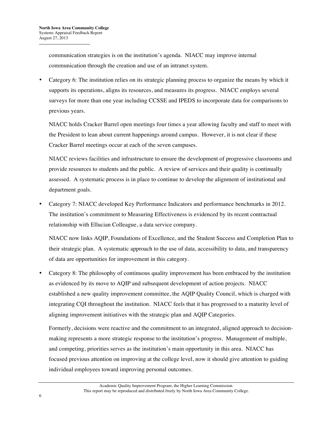communication strategies is on the institution's agenda. NIACC may improve internal communication through the creation and use of an intranet system.

• Category 6: The institution relies on its strategic planning process to organize the means by which it supports its operations, aligns its resources, and measures its progress. NIACC employs several surveys for more than one year including CCSSE and IPEDS to incorporate data for comparisons to previous years.

NIACC holds Cracker Barrel open meetings four times a year allowing faculty and staff to meet with the President to lean about current happenings around campus. However, it is not clear if these Cracker Barrel meetings occur at each of the seven campuses.

NIACC reviews facilities and infrastructure to ensure the development of progressive classrooms and provide resources to students and the public. A review of services and their quality is continually assessed. A systematic process is in place to continue to develop the alignment of institutional and department goals.

• Category 7: NIACC developed Key Performance Indicators and performance benchmarks in 2012. The institution's commitment to Measuring Effectiveness is evidenced by its recent contractual relationship with Ellucian Colleague, a data service company.

NIACC now links AQIP, Foundations of Excellence, and the Student Success and Completion Plan to their strategic plan. A systematic approach to the use of data, accessibility to data, and transparency of data are opportunities for improvement in this category.

• Category 8: The philosophy of continuous quality improvement has been embraced by the institution as evidenced by its move to AQIP and subsequent development of action projects. NIACC established a new quality improvement committee, the AQIP Quality Council, which is charged with integrating CQI throughout the institution. NIACC feels that it has progressed to a maturity level of aligning improvement initiatives with the strategic plan and AQIP Categories.

Formerly, decisions were reactive and the commitment to an integrated, aligned approach to decisionmaking represents a more strategic response to the institution's progress. Management of multiple, and competing, priorities serves as the institution's main opportunity in this area. NIACC has focused previous attention on improving at the college level, now it should give attention to guiding individual employees toward improving personal outcomes.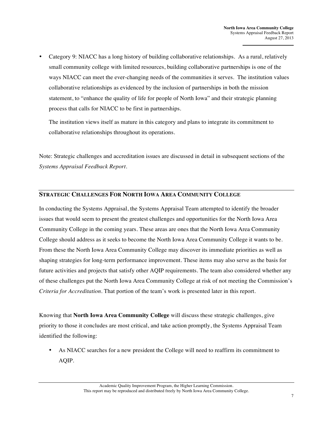• Category 9: NIACC has a long history of building collaborative relationships. As a rural, relatively small community college with limited resources, building collaborative partnerships is one of the ways NIACC can meet the ever-changing needs of the communities it serves. The institution values collaborative relationships as evidenced by the inclusion of partnerships in both the mission statement, to "enhance the quality of life for people of North Iowa" and their strategic planning process that calls for NIACC to be first in partnerships.

The institution views itself as mature in this category and plans to integrate its commitment to collaborative relationships throughout its operations.

Note: Strategic challenges and accreditation issues are discussed in detail in subsequent sections of the *Systems Appraisal Feedback Report*.

#### **STRATEGIC CHALLENGES FOR NORTH IOWA AREA COMMUNITY COLLEGE**

In conducting the Systems Appraisal, the Systems Appraisal Team attempted to identify the broader issues that would seem to present the greatest challenges and opportunities for the North Iowa Area Community College in the coming years. These areas are ones that the North Iowa Area Community College should address as it seeks to become the North Iowa Area Community College it wants to be. From these the North Iowa Area Community College may discover its immediate priorities as well as shaping strategies for long-term performance improvement. These items may also serve as the basis for future activities and projects that satisfy other AQIP requirements. The team also considered whether any of these challenges put the North Iowa Area Community College at risk of not meeting the Commission's *Criteria for Accreditation*. That portion of the team's work is presented later in this report.

Knowing that **North Iowa Area Community College** will discuss these strategic challenges, give priority to those it concludes are most critical, and take action promptly, the Systems Appraisal Team identified the following:

• As NIACC searches for a new president the College will need to reaffirm its commitment to AQIP.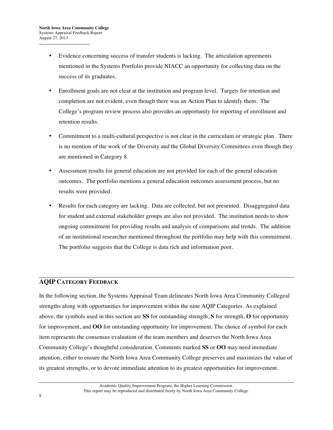- Evidence concerning success of transfer students is lacking. The articulation agreements mentioned in the Systems Portfolio provide NIACC an opportunity for collecting data on the success of its graduates.
- Enrollment goals are not clear at the institution and program level. Targets for retention and completion are not evident, even though there was an Action Plan to identify them. The College's program review process also provides an opportunity for reporting of enrollment and retention results.
- Commitment to a multi-cultural perspective is not clear in the curriculum or strategic plan. There is no mention of the work of the Diversity and the Global Diversity Committees even though they are mentioned in Category 8.
- Assessment results for general education are not provided for each of the general education outcomes. The portfolio mentions a general education outcomes assessment process, but no results were provided.
- Results for each category are lacking. Data are collected, but not presented. Disaggregated data for student and external stakeholder groups are also not provided. The institution needs to show ongoing commitment for providing results and analysis of comparisons and trends. The addition of an institutional researcher mentioned throughout the portfolio may help with this commitment. The portfolio suggests that the College is data rich and information poor.

#### **AQIP CATEGORY FEEDBACK**

In the following section, the Systems Appraisal Team delineates North Iowa Area Community Collegeal strengths along with opportunities for improvement within the nine AQIP Categories. As explained above, the symbols used in this section are **SS** for outstanding strength, **S** for strength, **O** for opportunity for improvement, and **OO** for outstanding opportunity for improvement. The choice of symbol for each item represents the consensus evaluation of the team members and deserves the North Iowa Area Community College's thoughtful consideration. Comments marked **SS** or **OO** may need immediate attention, either to ensure the North Iowa Area Community College preserves and maximizes the value of its greatest strengths, or to devote immediate attention to its greatest opportunities for improvement.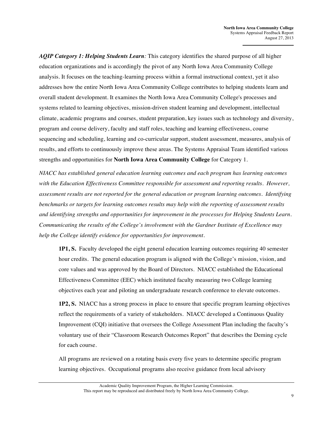*AQIP Category 1: Helping Students Learn:* This category identifies the shared purpose of all higher education organizations and is accordingly the pivot of any North Iowa Area Community College analysis. It focuses on the teaching-learning process within a formal instructional context, yet it also addresses how the entire North Iowa Area Community College contributes to helping students learn and overall student development. It examines the North Iowa Area Community College's processes and systems related to learning objectives, mission-driven student learning and development, intellectual climate, academic programs and courses, student preparation, key issues such as technology and diversity, program and course delivery, faculty and staff roles, teaching and learning effectiveness, course sequencing and scheduling, learning and co-curricular support, student assessment, measures, analysis of results, and efforts to continuously improve these areas. The Systems Appraisal Team identified various strengths and opportunities for **North Iowa Area Community College** for Category 1.

*NIACC has established general education learning outcomes and each program has learning outcomes with the Education Effectiveness Committee responsible for assessment and reporting results. However, assessment results are not reported for the general education or program learning outcomes. Identifying benchmarks or targets for learning outcomes results may help with the reporting of assessment results and identifying strengths and opportunities for improvement in the processes for Helping Students Learn. Communicating the results of the College's involvement with the Gardner Institute of Excellence may help the College identify evidence for opportunities for improvement.*

**1P1, S.** Faculty developed the eight general education learning outcomes requiring 40 semester hour credits. The general education program is aligned with the College's mission, vision, and core values and was approved by the Board of Directors. NIACC established the Educational Effectiveness Committee (EEC) which instituted faculty measuring two College learning objectives each year and piloting an undergraduate research conference to elevate outcomes.

**1P2, S.** NIACC has a strong process in place to ensure that specific program learning objectives reflect the requirements of a variety of stakeholders. NIACC developed a Continuous Quality Improvement (CQI) initiative that oversees the College Assessment Plan including the faculty's voluntary use of their "Classroom Research Outcomes Report" that describes the Deming cycle for each course.

All programs are reviewed on a rotating basis every five years to determine specific program learning objectives. Occupational programs also receive guidance from local advisory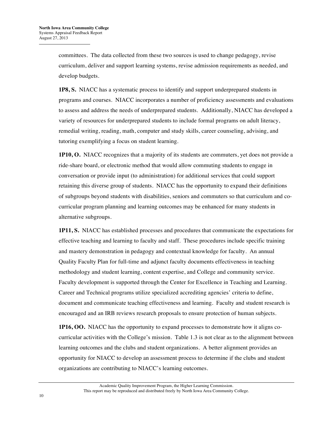committees. The data collected from these two sources is used to change pedagogy, revise curriculum, deliver and support learning systems, revise admission requirements as needed, and develop budgets.

**1P8, S.** NIACC has a systematic process to identify and support underprepared students in programs and courses. NIACC incorporates a number of proficiency assessments and evaluations to assess and address the needs of underprepared students. Additionally, NIACC has developed a variety of resources for underprepared students to include formal programs on adult literacy, remedial writing, reading, math, computer and study skills, career counseling, advising, and tutoring exemplifying a focus on student learning.

**1P10, O.** NIACC recognizes that a majority of its students are commuters, yet does not provide a ride-share board, or electronic method that would allow commuting students to engage in conversation or provide input (to administration) for additional services that could support retaining this diverse group of students. NIACC has the opportunity to expand their definitions of subgroups beyond students with disabilities, seniors and commuters so that curriculum and cocurricular program planning and learning outcomes may be enhanced for many students in alternative subgroups.

**1P11, S.** NIACC has established processes and procedures that communicate the expectations for effective teaching and learning to faculty and staff. These procedures include specific training and mastery demonstration in pedagogy and contextual knowledge for faculty. An annual Quality Faculty Plan for full-time and adjunct faculty documents effectiveness in teaching methodology and student learning, content expertise, and College and community service. Faculty development is supported through the Center for Excellence in Teaching and Learning. Career and Technical programs utilize specialized accrediting agencies' criteria to define, document and communicate teaching effectiveness and learning. Faculty and student research is encouraged and an IRB reviews research proposals to ensure protection of human subjects.

**1P16, OO.** NIACC has the opportunity to expand processes to demonstrate how it aligns cocurricular activities with the College's mission. Table 1.3 is not clear as to the alignment between learning outcomes and the clubs and student organizations. A better alignment provides an opportunity for NIACC to develop an assessment process to determine if the clubs and student organizations are contributing to NIACC's learning outcomes.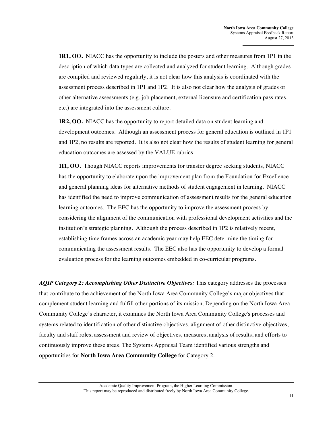**1R1, OO.** NIACC has the opportunity to include the posters and other measures from 1P1 in the description of which data types are collected and analyzed for student learning. Although grades are compiled and reviewed regularly, it is not clear how this analysis is coordinated with the assessment process described in 1P1 and 1P2. It is also not clear how the analysis of grades or other alternative assessments (e.g. job placement, external licensure and certification pass rates, etc.) are integrated into the assessment culture.

**1R2, OO.** NIACC has the opportunity to report detailed data on student learning and development outcomes. Although an assessment process for general education is outlined in 1P1 and 1P2, no results are reported. It is also not clear how the results of student learning for general education outcomes are assessed by the VALUE rubrics.

**1I1, OO.** Though NIACC reports improvements for transfer degree seeking students, NIACC has the opportunity to elaborate upon the improvement plan from the Foundation for Excellence and general planning ideas for alternative methods of student engagement in learning. NIACC has identified the need to improve communication of assessment results for the general education learning outcomes. The EEC has the opportunity to improve the assessment process by considering the alignment of the communication with professional development activities and the institution's strategic planning. Although the process described in 1P2 is relatively recent, establishing time frames across an academic year may help EEC determine the timing for communicating the assessment results. The EEC also has the opportunity to develop a formal evaluation process for the learning outcomes embedded in co-curricular programs.

*AQIP Category 2: Accomplishing Other Distinctive Objectives:* This category addresses the processes that contribute to the achievement of the North Iowa Area Community College's major objectives that complement student learning and fulfill other portions of its mission. Depending on the North Iowa Area Community College's character, it examines the North Iowa Area Community College's processes and systems related to identification of other distinctive objectives, alignment of other distinctive objectives, faculty and staff roles, assessment and review of objectives, measures, analysis of results, and efforts to continuously improve these areas. The Systems Appraisal Team identified various strengths and opportunities for **North Iowa Area Community College** for Category 2.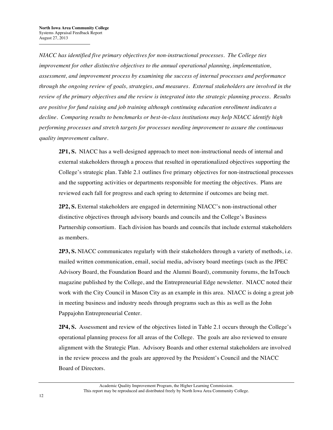*NIACC has identified five primary objectives for non-instructional processes. The College ties improvement for other distinctive objectives to the annual operational planning, implementation, assessment, and improvement process by examining the success of internal processes and performance through the ongoing review of goals, strategies, and measures. External stakeholders are involved in the review of the primary objectives and the review is integrated into the strategic planning process. Results are positive for fund raising and job training although continuing education enrollment indicates a decline. Comparing results to benchmarks or best-in-class institutions may help NIACC identify high performing processes and stretch targets for processes needing improvement to assure the continuous quality improvement culture.* 

**2P1, S.** NIACC has a well-designed approach to meet non-instructional needs of internal and external stakeholders through a process that resulted in operationalized objectives supporting the College's strategic plan. Table 2.1 outlines five primary objectives for non-instructional processes and the supporting activities or departments responsible for meeting the objectives. Plans are reviewed each fall for progress and each spring to determine if outcomes are being met.

**2P2, S.** External stakeholders are engaged in determining NIACC's non-instructional other distinctive objectives through advisory boards and councils and the College's Business Partnership consortium. Each division has boards and councils that include external stakeholders as members.

**2P3, S.** NIACC communicates regularly with their stakeholders through a variety of methods, i.e. mailed written communication, email, social media, advisory board meetings (such as the JPEC Advisory Board, the Foundation Board and the Alumni Board), community forums, the InTouch magazine published by the College, and the Entrepreneurial Edge newsletter. NIACC noted their work with the City Council in Mason City as an example in this area. NIACC is doing a great job in meeting business and industry needs through programs such as this as well as the John Pappajohn Entrepreneurial Center.

**2P4, S.** Assessment and review of the objectives listed in Table 2.1 occurs through the College's operational planning process for all areas of the College. The goals are also reviewed to ensure alignment with the Strategic Plan. Advisory Boards and other external stakeholders are involved in the review process and the goals are approved by the President's Council and the NIACC Board of Directors.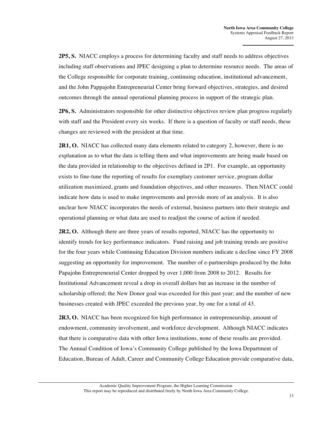**2P5, S.** NIACC employs a process for determining faculty and staff needs to address objectives including staff observations and JPEC designing a plan to determine resource needs. The areas of the College responsible for corporate training, continuing education, institutional advancement, and the John Pappajohn Entrepreneurial Center bring forward objectives, strategies, and desired outcomes through the annual operational planning process in support of the strategic plan.

**2P6, S.** Administrators responsible for other distinctive objectives review plan progress regularly with staff and the President every six weeks. If there is a question of faculty or staff needs, these changes are reviewed with the president at that time.

**2R1, O.** NIACC has collected many data elements related to category 2, however, there is no explanation as to what the data is telling them and what improvements are being made based on the data provided in relationship to the objectives defined in 2P1. For example, an opportunity exists to fine-tune the reporting of results for exemplary customer service, program dollar utilization maximized, grants and foundation objectives, and other measures. Then NIACC could indicate how data is used to make improvements and provide more of an analysis. It is also unclear how NIACC incorporates the needs of external, business partners into their strategic and operational planning or what data are used to readjust the course of action if needed.

**2R2, O.** Although there are three years of results reported, NIACC has the opportunity to identify trends for key performance indicators. Fund raising and job training trends are positive for the four years while Continuing Education Division numbers indicate a decline since FY 2008 suggesting an opportunity for improvement. The number of e-partnerships produced by the John Papajohn Entrepreneurial Center dropped by over 1,000 from 2008 to 2012. Results for Institutional Advancement reveal a drop in overall dollars but an increase in the number of scholarship offered; the New Donor goal was exceeded for this past year; and the number of new businesses created with JPEC exceeded the previous year, by one for a total of 43.

**2R3, O.** NIACC has been recognized for high performance in entrepreneurship, amount of endowment, community involvement, and workforce development. Although NIACC indicates that there is comparative data with other Iowa institutions, none of these results are provided. The Annual Condition of Iowa's Community College published by the Iowa Department of Education, Bureau of Adult, Career and Community College Education provide comparative data,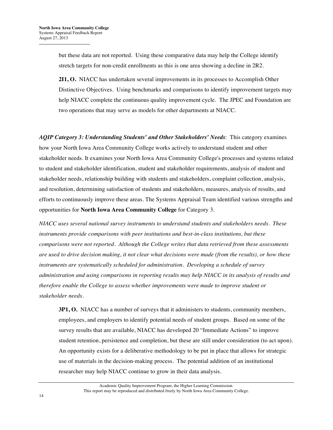but these data are not reported. Using these comparative data may help the College identify stretch targets for non-credit enrollments as this is one area showing a decline in 2R2.

**2I1, O.** NIACC has undertaken several improvements in its processes to Accomplish Other Distinctive Objectives. Using benchmarks and comparisons to identify improvement targets may help NIACC complete the continuous quality improvement cycle. The JPEC and Foundation are two operations that may serve as models for other departments at NIACC.

*AQIP Category 3: Understanding Students' and Other Stakeholders' Needs*: This category examines how your North Iowa Area Community College works actively to understand student and other stakeholder needs. It examines your North Iowa Area Community College's processes and systems related to student and stakeholder identification, student and stakeholder requirements, analysis of student and stakeholder needs, relationship building with students and stakeholders, complaint collection, analysis, and resolution, determining satisfaction of students and stakeholders, measures, analysis of results, and efforts to continuously improve these areas. The Systems Appraisal Team identified various strengths and opportunities for **North Iowa Area Community College** for Category 3.

*NIACC uses several national survey instruments to understand students and stakeholders needs. These instruments provide comparisons with peer institutions and best-in-class institutions, but these comparisons were not reported. Although the College writes that data retrieved from these assessments are used to drive decision making, it not clear what decisions were made (from the results), or how these instruments are systematically scheduled for administration. Developing a schedule of survey administration and using comparisons in reporting results may help NIACC in its analysis of results and therefore enable the College to assess whether improvements were made to improve student or stakeholder needs.* 

**3P1, O.** NIACC has a number of surveys that it administers to students, community members, employees, and employers to identify potential needs of student groups. Based on some of the survey results that are available, NIACC has developed 20 "Immediate Actions" to improve student retention, persistence and completion, but these are still under consideration (to act upon). An opportunity exists for a deliberative methodology to be put in place that allows for strategic use of materials in the decision-making process. The potential addition of an institutional researcher may help NIACC continue to grow in their data analysis.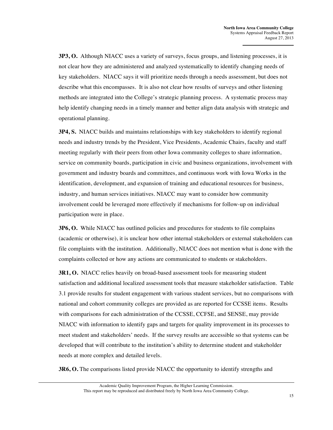**3P3, O.** Although NIACC uses a variety of surveys, focus groups, and listening processes, it is not clear how they are administered and analyzed systematically to identify changing needs of key stakeholders. NIACC says it will prioritize needs through a needs assessment, but does not describe what this encompasses. It is also not clear how results of surveys and other listening methods are integrated into the College's strategic planning process. A systematic process may help identify changing needs in a timely manner and better align data analysis with strategic and operational planning.

**3P4, S.** NIACC builds and maintains relationships with key stakeholders to identify regional needs and industry trends by the President, Vice Presidents, Academic Chairs, faculty and staff meeting regularly with their peers from other Iowa community colleges to share information, service on community boards, participation in civic and business organizations, involvement with government and industry boards and committees, and continuous work with Iowa Works in the identification, development, and expansion of training and educational resources for business, industry, and human services initiatives. NIACC may want to consider how community involvement could be leveraged more effectively if mechanisms for follow-up on individual participation were in place.

**3P6, O.** While NIACC has outlined policies and procedures for students to file complains (academic or otherwise), it is unclear how other internal stakeholders or external stakeholders can file complaints with the institution. Additionally, NIACC does not mention what is done with the complaints collected or how any actions are communicated to students or stakeholders.

**3R1, O.** NIACC relies heavily on broad-based assessment tools for measuring student satisfaction and additional localized assessment tools that measure stakeholder satisfaction. Table 3.1 provide results for student engagement with various student services, but no comparisons with national and cohort community colleges are provided as are reported for CCSSE items. Results with comparisons for each administration of the CCSSE, CCFSE, and SENSE, may provide NIACC with information to identify gaps and targets for quality improvement in its processes to meet student and stakeholders' needs. If the survey results are accessible so that systems can be developed that will contribute to the institution's ability to determine student and stakeholder needs at more complex and detailed levels.

**3R6, O.** The comparisons listed provide NIACC the opportunity to identify strengths and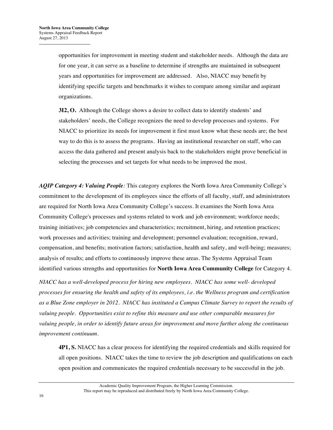opportunities for improvement in meeting student and stakeholder needs. Although the data are for one year, it can serve as a baseline to determine if strengths are maintained in subsequent years and opportunities for improvement are addressed.Also, NIACC may benefit by identifying specific targets and benchmarks it wishes to compare among similar and aspirant organizations.

**3I2, O.** Although the College shows a desire to collect data to identify students' and stakeholders' needs, the College recognizes the need to develop processes and systems. For NIACC to prioritize its needs for improvement it first must know what these needs are; the best way to do this is to assess the programs. Having an institutional researcher on staff, who can access the data gathered and present analysis back to the stakeholders might prove beneficial in selecting the processes and set targets for what needs to be improved the most.

*AQIP Category 4: Valuing People:* This category explores the North Iowa Area Community College's commitment to the development of its employees since the efforts of all faculty, staff, and administrators are required for North Iowa Area Community College's success. It examines the North Iowa Area Community College's processes and systems related to work and job environment; workforce needs; training initiatives; job competencies and characteristics; recruitment, hiring, and retention practices; work processes and activities; training and development; personnel evaluation; recognition, reward, compensation, and benefits; motivation factors; satisfaction, health and safety, and well-being; measures; analysis of results; and efforts to continuously improve these areas. The Systems Appraisal Team identified various strengths and opportunities for **North Iowa Area Community College** for Category 4.

*NIACC has a well-developed process for hiring new employees. NIACC has some well- developed processes for ensuring the health and safety of its employees, i.e. the Wellness program and certification as a Blue Zone employer in 2012. NIACC has instituted a Campus Climate Survey to report the results of valuing people. Opportunities exist to refine this measure and use other comparable measures for valuing people, in order to identify future areas for improvement and move further along the continuous improvement continuum.* 

**4P1, S.** NIACC has a clear process for identifying the required credentials and skills required for all open positions. NIACC takes the time to review the job description and qualifications on each open position and communicates the required credentials necessary to be successful in the job.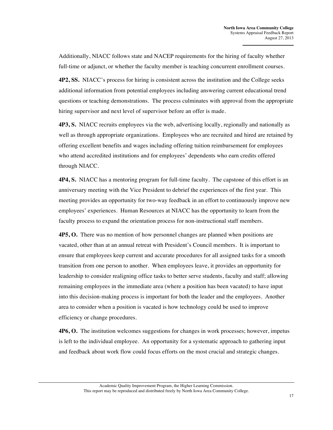Additionally, NIACC follows state and NACEP requirements for the hiring of faculty whether full-time or adjunct, or whether the faculty member is teaching concurrent enrollment courses.

**4P2, SS.** NIACC's process for hiring is consistent across the institution and the College seeks additional information from potential employees including answering current educational trend questions or teaching demonstrations. The process culminates with approval from the appropriate hiring supervisor and next level of supervisor before an offer is made.

**4P3, S.** NIACC recruits employees via the web, advertising locally, regionally and nationally as well as through appropriate organizations. Employees who are recruited and hired are retained by offering excellent benefits and wages including offering tuition reimbursement for employees who attend accredited institutions and for employees' dependents who earn credits offered through NIACC.

**4P4, S.** NIACC has a mentoring program for full-time faculty. The capstone of this effort is an anniversary meeting with the Vice President to debrief the experiences of the first year. This meeting provides an opportunity for two-way feedback in an effort to continuously improve new employees' experiences. Human Resources at NIACC has the opportunity to learn from the faculty process to expand the orientation process for non-instructional staff members.

**4P5, O.** There was no mention of how personnel changes are planned when positions are vacated, other than at an annual retreat with President's Council members. It is important to ensure that employees keep current and accurate procedures for all assigned tasks for a smooth transition from one person to another. When employees leave, it provides an opportunity for leadership to consider realigning office tasks to better serve students, faculty and staff; allowing remaining employees in the immediate area (where a position has been vacated) to have input into this decision-making process is important for both the leader and the employees. Another area to consider when a position is vacated is how technology could be used to improve efficiency or change procedures.

**4P6, O.** The institution welcomes suggestions for changes in work processes; however, impetus is left to the individual employee. An opportunity for a systematic approach to gathering input and feedback about work flow could focus efforts on the most crucial and strategic changes.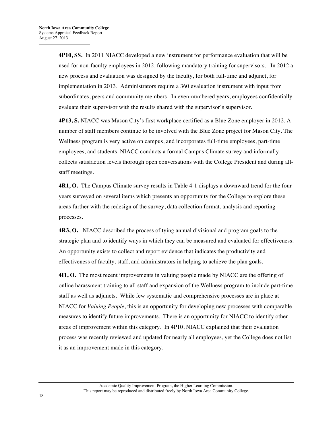**4P10, SS.** In 2011 NIACC developed a new instrument for performance evaluation that will be used for non-faculty employees in 2012, following mandatory training for supervisors. In 2012 a new process and evaluation was designed by the faculty, for both full-time and adjunct, for implementation in 2013. Administrators require a 360 evaluation instrument with input from subordinates, peers and community members. In even-numbered years, employees confidentially evaluate their supervisor with the results shared with the supervisor's supervisor.

**4P13, S.** NIACC was Mason City's first workplace certified as a Blue Zone employer in 2012. A number of staff members continue to be involved with the Blue Zone project for Mason City. The Wellness program is very active on campus, and incorporates full-time employees, part-time employees, and students. NIACC conducts a formal Campus Climate survey and informally collects satisfaction levels thorough open conversations with the College President and during allstaff meetings.

**4R1, O.** The Campus Climate survey results in Table 4-1 displays a downward trend for the four years surveyed on several items which presents an opportunity for the College to explore these areas further with the redesign of the survey, data collection format, analysis and reporting processes.

**4R3, O.** NIACC described the process of tying annual divisional and program goals to the strategic plan and to identify ways in which they can be measured and evaluated for effectiveness. An opportunity exists to collect and report evidence that indicates the productivity and effectiveness of faculty, staff, and administrators in helping to achieve the plan goals.

**4I1, O.** The most recent improvements in valuing people made by NIACC are the offering of online harassment training to all staff and expansion of the Wellness program to include part-time staff as well as adjuncts. While few systematic and comprehensive processes are in place at NIACC for *Valuing People*, this is an opportunity for developing new processes with comparable measures to identify future improvements. There is an opportunity for NIACC to identify other areas of improvement within this category. In 4P10, NIACC explained that their evaluation process was recently reviewed and updated for nearly all employees, yet the College does not list it as an improvement made in this category.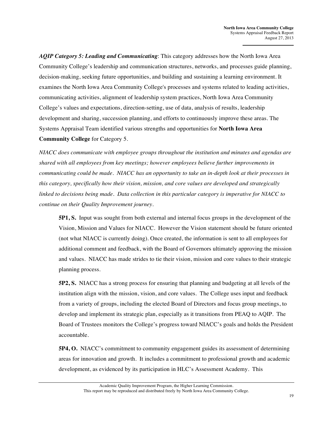*AQIP Category 5: Leading and Communicating*: This category addresses how the North Iowa Area Community College's leadership and communication structures, networks, and processes guide planning, decision-making, seeking future opportunities, and building and sustaining a learning environment. It examines the North Iowa Area Community College's processes and systems related to leading activities, communicating activities, alignment of leadership system practices, North Iowa Area Community College's values and expectations, direction-setting, use of data, analysis of results, leadership development and sharing, succession planning, and efforts to continuously improve these areas. The Systems Appraisal Team identified various strengths and opportunities for **North Iowa Area Community College** for Category 5.

*NIACC does communicate with employee groups throughout the institution and minutes and agendas are shared with all employees from key meetings; however employees believe further improvements in communicating could be made. NIACC has an opportunity to take an in-depth look at their processes in this category, specifically how their vision, mission, and core values are developed and strategically linked to decisions being made. Data collection in this particular category is imperative for NIACC to continue on their Quality Improvement journey.*

**5P1, S.** Input was sought from both external and internal focus groups in the development of the Vision, Mission and Values for NIACC. However the Vision statement should be future oriented (not what NIACC is currently doing). Once created, the information is sent to all employees for additional comment and feedback, with the Board of Governors ultimately approving the mission and values. NIACC has made strides to tie their vision, mission and core values to their strategic planning process.

**5P2, S.** NIACC has a strong process for ensuring that planning and budgeting at all levels of the institution align with the mission, vision, and core values. The College uses input and feedback from a variety of groups, including the elected Board of Directors and focus group meetings, to develop and implement its strategic plan, especially as it transitions from PEAQ to AQIP. The Board of Trustees monitors the College's progress toward NIACC's goals and holds the President accountable.

**5P4, O.** NIACC's commitment to community engagement guides its assessment of determining areas for innovation and growth. It includes a commitment to professional growth and academic development, as evidenced by its participation in HLC's Assessment Academy. This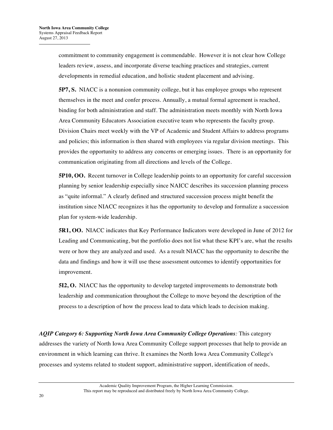commitment to community engagement is commendable. However it is not clear how College leaders review, assess, and incorporate diverse teaching practices and strategies, current developments in remedial education, and holistic student placement and advising.

**5P7, S.** NIACC is a nonunion community college, but it has employee groups who represent themselves in the meet and confer process. Annually, a mutual formal agreement is reached, binding for both administration and staff. The administration meets monthly with North Iowa Area Community Educators Association executive team who represents the faculty group. Division Chairs meet weekly with the VP of Academic and Student Affairs to address programs and policies; this information is then shared with employees via regular division meetings. This provides the opportunity to address any concerns or emerging issues. There is an opportunity for communication originating from all directions and levels of the College.

**5P10, OO.** Recent turnover in College leadership points to an opportunity for careful succession planning by senior leadership especially since NAICC describes its succession planning process as "quite informal." A clearly defined and structured succession process might benefit the institution since NIACC recognizes it has the opportunity to develop and formalize a succession plan for system-wide leadership.

**5R1, OO.** NIACC indicates that Key Performance Indicators were developed in June of 2012 for Leading and Communicating, but the portfolio does not list what these KPI's are, what the results were or how they are analyzed and used. As a result NIACC has the opportunity to describe the data and findings and how it will use these assessment outcomes to identify opportunities for improvement.

**5I2, O.** NIACC has the opportunity to develop targeted improvements to demonstrate both leadership and communication throughout the College to move beyond the description of the process to a description of how the process lead to data which leads to decision making.

*AQIP Category 6: Supporting North Iowa Area Community College Operations:* This category addresses the variety of North Iowa Area Community College support processes that help to provide an environment in which learning can thrive. It examines the North Iowa Area Community College's processes and systems related to student support, administrative support, identification of needs,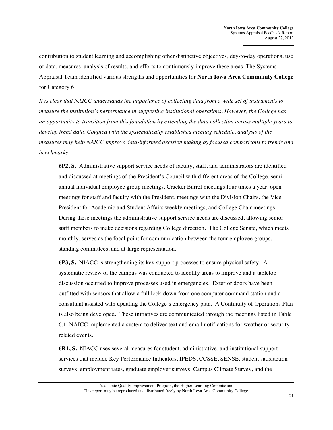contribution to student learning and accomplishing other distinctive objectives, day-to-day operations, use of data, measures, analysis of results, and efforts to continuously improve these areas. The Systems Appraisal Team identified various strengths and opportunities for **North Iowa Area Community College** for Category 6.

*It is clear that NAICC understands the importance of collecting data from a wide set of instruments to measure the institution's performance in supporting institutional operations. However, the College has an opportunity to transition from this foundation by extending the data collection across multiple years to develop trend data. Coupled with the systematically established meeting schedule, analysis of the measures may help NAICC improve data-informed decision making by focused comparisons to trends and benchmarks.*

**6P2, S.** Administrative support service needs of faculty, staff, and administrators are identified and discussed at meetings of the President's Council with different areas of the College, semiannual individual employee group meetings, Cracker Barrel meetings four times a year, open meetings for staff and faculty with the President, meetings with the Division Chairs, the Vice President for Academic and Student Affairs weekly meetings, and College Chair meetings. During these meetings the administrative support service needs are discussed, allowing senior staff members to make decisions regarding College direction. The College Senate, which meets monthly, serves as the focal point for communication between the four employee groups, standing committees, and at-large representation.

**6P3, S.** NIACC is strengthening its key support processes to ensure physical safety. A systematic review of the campus was conducted to identify areas to improve and a tabletop discussion occurred to improve processes used in emergencies. Exterior doors have been outfitted with sensors that allow a full lock-down from one computer command station and a consultant assisted with updating the College's emergency plan. A Continuity of Operations Plan is also being developed. These initiatives are communicated through the meetings listed in Table 6.1. NAICC implemented a system to deliver text and email notifications for weather or securityrelated events.

**6R1, S.** NIACC uses several measures for student, administrative, and institutional support services that include Key Performance Indicators, IPEDS, CCSSE, SENSE, student satisfaction surveys, employment rates, graduate employer surveys, Campus Climate Survey, and the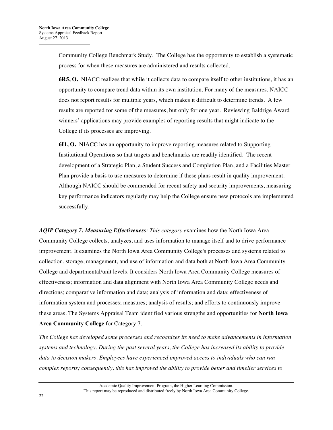Community College Benchmark Study. The College has the opportunity to establish a systematic process for when these measures are administered and results collected.

**6R5, O.** NIACC realizes that while it collects data to compare itself to other institutions, it has an opportunity to compare trend data within its own institution. For many of the measures, NAICC does not report results for multiple years, which makes it difficult to determine trends. A few results are reported for some of the measures, but only for one year. Reviewing Baldrige Award winners' applications may provide examples of reporting results that might indicate to the College if its processes are improving.

**6I1, O.** NIACC has an opportunity to improve reporting measures related to Supporting Institutional Operations so that targets and benchmarks are readily identified. The recent development of a Strategic Plan, a Student Success and Completion Plan, and a Facilities Master Plan provide a basis to use measures to determine if these plans result in quality improvement. Although NAICC should be commended for recent safety and security improvements, measuring key performance indicators regularly may help the College ensure new protocols are implemented successfully.

*AQIP Category 7: Measuring Effectiveness: This category e*xamines how the North Iowa Area Community College collects, analyzes, and uses information to manage itself and to drive performance improvement. It examines the North Iowa Area Community College's processes and systems related to collection, storage, management, and use of information and data both at North Iowa Area Community College and departmental/unit levels. It considers North Iowa Area Community College measures of effectiveness; information and data alignment with North Iowa Area Community College needs and directions; comparative information and data; analysis of information and data; effectiveness of information system and processes; measures; analysis of results; and efforts to continuously improve these areas. The Systems Appraisal Team identified various strengths and opportunities for **North Iowa Area Community College** for Category 7.

*The College has developed some processes and recognizes its need to make advancements in information systems and technology. During the past several years, the College has increased its ability to provide data to decision makers. Employees have experienced improved access to individuals who can run complex reports; consequently, this has improved the ability to provide better and timelier services to*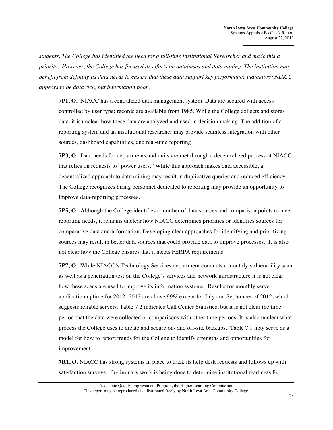*students. The College has identified the need for a full-time Institutional Researcher and made this a priority. However, the College has focused its efforts on databases and data mining. The institution may benefit from defining its data needs to ensure that these data support key performance indicators; NIACC appears to be data rich, but information poor.*

**7P1, O.** NIACC has a centralized data management system. Data are secured with access controlled by user type; records are available from 1985. While the College collects and stores data, it is unclear how these data are analyzed and used in decision making. The addition of a reporting system and an institutional researcher may provide seamless integration with other sources, dashboard capabilities, and real-time reporting.

**7P3, O.** Data needs for departments and units are met through a decentralized process at NIACC that relies on requests to "power users." While this approach makes data accessible, a decentralized approach to data mining may result in duplicative queries and reduced efficiency. The College recognizes hiring personnel dedicated to reporting may provide an opportunity to improve data-reporting processes.

**7P5, O.** Although the College identifies a number of data sources and comparison points to meet reporting needs, it remains unclear how NIACC determines priorities or identifies sources for comparative data and information. Developing clear approaches for identifying and prioritizing sources may result in better data sources that could provide data to improve processes. It is also not clear how the College ensures that it meets FERPA requirements.

**7P7, O.** While NIACC's Technology Services department conducts a monthly vulnerability scan as well as a penetration test on the College's services and network infrastructure it is not clear how these scans are used to improve its information systems. Results for monthly server application uptime for 2012- 2013 are above 99% except for July and September of 2012, which suggests reliable servers. Table 7.2 indicates Call Center Statistics, but it is not clear the time period that the data were collected or comparisons with other time periods. It is also unclear what process the College uses to create and secure on- and off-site backups. Table 7.1 may serve as a model for how to report trends for the College to identify strengths and opportunities for improvement.

**7R1, O.** NIACC has strong systems in place to track its help desk requests and follows up with satisfaction surveys. Preliminary work is being done to determine institutional readiness for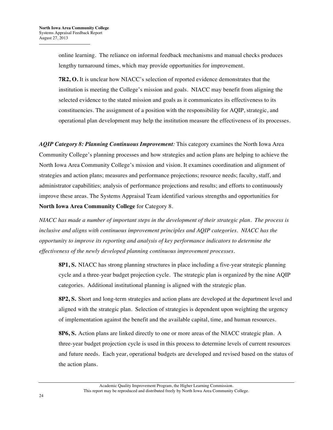online learning. The reliance on informal feedback mechanisms and manual checks produces lengthy turnaround times, which may provide opportunities for improvement.

**7R2, O.** It is unclear how NIACC's selection of reported evidence demonstrates that the institution is meeting the College's mission and goals. NIACC may benefit from aligning the selected evidence to the stated mission and goals as it communicates its effectiveness to its constituencies. The assignment of a position with the responsibility for AQIP, strategic, and operational plan development may help the institution measure the effectiveness of its processes.

*AQIP Category 8: Planning Continuous Improvement:* This category examines the North Iowa Area Community College's planning processes and how strategies and action plans are helping to achieve the North Iowa Area Community College's mission and vision. It examines coordination and alignment of strategies and action plans; measures and performance projections; resource needs; faculty, staff, and administrator capabilities; analysis of performance projections and results; and efforts to continuously improve these areas. The Systems Appraisal Team identified various strengths and opportunities for **North Iowa Area Community College** for Category 8.

*NIACC has made a number of important steps in the development of their strategic plan. The process is inclusive and aligns with continuous improvement principles and AQIP categories. NIACC has the opportunity to improve its reporting and analysis of key performance indicators to determine the effectiveness of the newly developed planning continuous improvement processes.*

**8P1, S.** NIACC has strong planning structures in place including a five-year strategic planning cycle and a three-year budget projection cycle. The strategic plan is organized by the nine AQIP categories. Additional institutional planning is aligned with the strategic plan.

**8P2, S.** Short and long-term strategies and action plans are developed at the department level and aligned with the strategic plan. Selection of strategies is dependent upon weighting the urgency of implementation against the benefit and the available capital, time, and human resources.

**8P6, S.** Action plans are linked directly to one or more areas of the NIACC strategic plan. A three-year budget projection cycle is used in this process to determine levels of current resources and future needs. Each year, operational budgets are developed and revised based on the status of the action plans.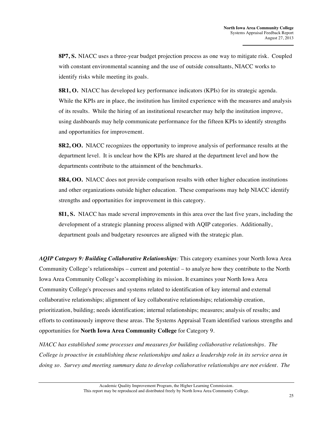**8P7, S.** NIACC uses a three-year budget projection process as one way to mitigate risk. Coupled with constant environmental scanning and the use of outside consultants, NIACC works to identify risks while meeting its goals.

**8R1, O.** NIACC has developed key performance indicators (KPIs) for its strategic agenda. While the KPIs are in place, the institution has limited experience with the measures and analysis of its results. While the hiring of an institutional researcher may help the institution improve, using dashboards may help communicate performance for the fifteen KPIs to identify strengths and opportunities for improvement.

**8R2, OO.** NIACC recognizes the opportunity to improve analysis of performance results at the department level. It is unclear how the KPIs are shared at the department level and how the departments contribute to the attainment of the benchmarks.

**8R4, OO.** NIACC does not provide comparison results with other higher education institutions and other organizations outside higher education. These comparisons may help NIACC identify strengths and opportunities for improvement in this category.

**8I1, S.** NIACC has made several improvements in this area over the last five years, including the development of a strategic planning process aligned with AQIP categories. Additionally, department goals and budgetary resources are aligned with the strategic plan.

*AQIP Category 9: Building Collaborative Relationships:* This category examines your North Iowa Area Community College's relationships – current and potential – to analyze how they contribute to the North Iowa Area Community College's accomplishing its mission. It examines your North Iowa Area Community College's processes and systems related to identification of key internal and external collaborative relationships; alignment of key collaborative relationships; relationship creation, prioritization, building; needs identification; internal relationships; measures; analysis of results; and efforts to continuously improve these areas. The Systems Appraisal Team identified various strengths and opportunities for **North Iowa Area Community College** for Category 9.

*NIACC has established some processes and measures for building collaborative relationships. The College is proactive in establishing these relationships and takes a leadership role in its service area in doing so. Survey and meeting summary data to develop collaborative relationships are not evident. The*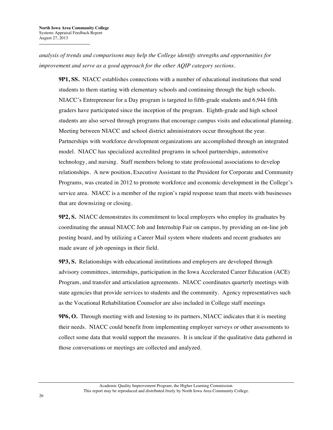*analysis of trends and comparisons may help the College identify strengths and opportunities for improvement and serve as a good approach for the other AQIP category sections.*

**9P1, SS.** NIACC establishes connections with a number of educational institutions that send students to them starting with elementary schools and continuing through the high schools. NIACC's Entrepreneur for a Day program is targeted to fifth-grade students and 6,944 fifth graders have participated since the inception of the program. Eighth-grade and high school students are also served through programs that encourage campus visits and educational planning. Meeting between NIACC and school district administrators occur throughout the year. Partnerships with workforce development organizations are accomplished through an integrated model. NIACC has specialized accredited programs in school partnerships, automotive technology, and nursing. Staff members belong to state professional associations to develop relationships. A new position, Executive Assistant to the President for Corporate and Community Programs, was created in 2012 to promote workforce and economic development in the College's service area. NIACC is a member of the region's rapid response team that meets with businesses that are downsizing or closing.

**9P2, S.** NIACC demonstrates its commitment to local employers who employ its graduates by coordinating the annual NIACC Job and Internship Fair on campus, by providing an on-line job posting board, and by utilizing a Career Mail system where students and recent graduates are made aware of job openings in their field.

**9P3, S.** Relationships with educational institutions and employers are developed through advisory committees, internships, participation in the Iowa Accelerated Career Education (ACE) Program, and transfer and articulation agreements. NIACC coordinates quarterly meetings with state agencies that provide services to students and the community. Agency representatives such as the Vocational Rehabilitation Counselor are also included in College staff meetings

**9P6, O.** Through meeting with and listening to its partners, NIACC indicates that it is meeting their needs. NIACC could benefit from implementing employer surveys or other assessments to collect some data that would support the measures. It is unclear if the qualitative data gathered in those conversations or meetings are collected and analyzed.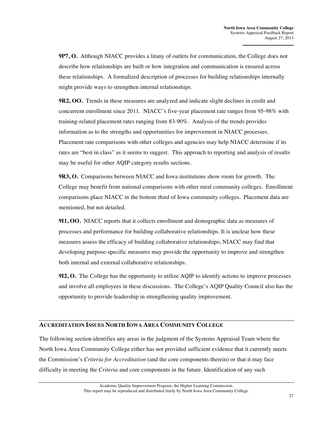**9P7, O.** Although NIACC provides a litany of outlets for communication, the College does not describe how relationships are built or how integration and communication is ensured across these relationships. A formalized description of processes for building relationships internally might provide ways to strengthen internal relationships.

**9R2, OO.** Trends in these measures are analyzed and indicate slight declines in credit and concurrent enrollment since 2011. NIACC's five-year placement rate ranges from 95-98% with training-related placement rates ranging from 83-90%. Analysis of the trends provides information as to the strengths and opportunities for improvement in NIACC processes. Placement rate comparisons with other colleges and agencies may help NIACC determine if its rates are "best in class" as it seems to suggest. This approach to reporting and analysis of results may be useful for other AQIP category results sections.

**9R3, O.** Comparisons between NIACC and Iowa institutions show room for growth. The College may benefit from national comparisons with other rural community colleges. Enrollment comparisons place NIACC in the bottom third of Iowa community colleges. Placement data are mentioned, but not detailed.

**9I1, OO.** NIACC reports that it collects enrollment and demographic data as measures of processes and performance for building collaborative relationships. It is unclear how these measures assess the efficacy of building collaborative relationships; NIACC may find that developing purpose-specific measures may provide the opportunity to improve and strengthen both internal and external collaborative relationships.

**9I2, O.** The College has the opportunity to utilize AQIP to identify actions to improve processes and involve all employees in these discussions. The College's AQIP Quality Council also has the opportunity to provide leadership in strengthening quality improvement.

#### **ACCREDITATION ISSUES NORTH IOWA AREA COMMUNITY COLLEGE**

The following section identifies any areas in the judgment of the Systems Appraisal Team where the North Iowa Area Community College either has not provided sufficient evidence that it currently meets the Commission's *Criteria for Accreditation* (and the core components therein) or that it may face difficulty in meeting the *Criteria* and core components in the future. Identification of any such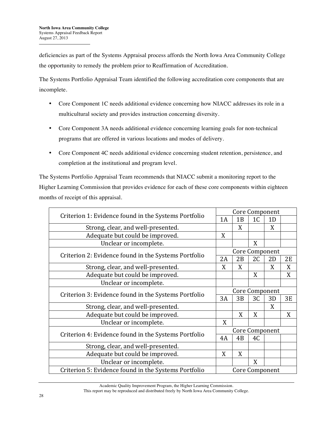deficiencies as part of the Systems Appraisal process affords the North Iowa Area Community College the opportunity to remedy the problem prior to Reaffirmation of Accreditation.

The Systems Portfolio Appraisal Team identified the following accreditation core components that are incomplete.

- Core Component 1C needs additional evidence concerning how NIACC addresses its role in a multicultural society and provides instruction concerning diversity.
- Core Component 3A needs additional evidence concerning learning goals for non-technical programs that are offered in various locations and modes of delivery.
- Core Component 4C needs additional evidence concerning student retention, persistence, and completion at the institutional and program level.

The Systems Portfolio Appraisal Team recommends that NIACC submit a monitoring report to the Higher Learning Commission that provides evidence for each of these core components within eighteen months of receipt of this appraisal.

| Criterion 1: Evidence found in the Systems Portfolio | Core Component |    |                |    |    |  |
|------------------------------------------------------|----------------|----|----------------|----|----|--|
|                                                      | 1A             | 1B | 1C             | 1D |    |  |
| Strong, clear, and well-presented.                   |                | X  |                | X  |    |  |
| Adequate but could be improved.                      | X              |    |                |    |    |  |
| Unclear or incomplete.                               |                |    | X              |    |    |  |
| Criterion 2: Evidence found in the Systems Portfolio | Core Component |    |                |    |    |  |
|                                                      | 2A             | 2B | 2 <sub>C</sub> | 2D | 2E |  |
| Strong, clear, and well-presented.                   | X              | X  |                | X  | X  |  |
| Adequate but could be improved.                      |                |    | X              |    | X  |  |
| Unclear or incomplete.                               |                |    |                |    |    |  |
| Criterion 3: Evidence found in the Systems Portfolio | Core Component |    |                |    |    |  |
|                                                      | 3A             | 3B | 3C             | 3D | 3E |  |
| Strong, clear, and well-presented.                   |                |    |                | X  |    |  |
| Adequate but could be improved.                      |                | X  | X              |    | X  |  |
| Unclear or incomplete.                               | X              |    |                |    |    |  |
| Criterion 4: Evidence found in the Systems Portfolio | Core Component |    |                |    |    |  |
|                                                      | 4A             | 4B | 4C             |    |    |  |
| Strong, clear, and well-presented.                   |                |    |                |    |    |  |
| Adequate but could be improved.                      | X              | X  |                |    |    |  |
| Unclear or incomplete.                               |                |    | X              |    |    |  |
| Criterion 5: Evidence found in the Systems Portfolio | Core Component |    |                |    |    |  |

Academic Quality Improvement Program, the Higher Learning Commission.

This report may be reproduced and distributed freely by North Iowa Area Community College.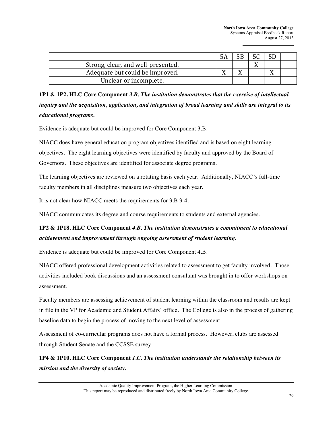**North Iowa Area Community College** Systems Appraisal Feedback Report August 27, 2013

| Strong, clear, and well-presented. |  |  |  |
|------------------------------------|--|--|--|
| Adequate but could be improved.    |  |  |  |
| Unclear or incomplete.             |  |  |  |

**1P1 & 1P2. HLC Core Component** *3.B. The institution demonstrates that the exercise of intellectual inquiry and the acquisition, application, and integration of broad learning and skills are integral to its educational programs.*

Evidence is adequate but could be improved for Core Component 3.B.

NIACC does have general education program objectives identified and is based on eight learning objectives. The eight learning objectives were identified by faculty and approved by the Board of Governors. These objectives are identified for associate degree programs.

The learning objectives are reviewed on a rotating basis each year. Additionally, NIACC's full-time faculty members in all disciplines measure two objectives each year.

It is not clear how NIACC meets the requirements for 3.B 3-4.

NIACC communicates its degree and course requirements to students and external agencies.

#### **1P2 & 1P18. HLC Core Component** *4.B. The institution demonstrates a commitment to educational achievement and improvement through ongoing assessment of student learning.*

Evidence is adequate but could be improved for Core Component 4.B.

NIACC offered professional development activities related to assessment to get faculty involved. Those activities included book discussions and an assessment consultant was brought in to offer workshops on assessment.

Faculty members are assessing achievement of student learning within the classroom and results are kept in file in the VP for Academic and Student Affairs' office. The College is also in the process of gathering baseline data to begin the process of moving to the next level of assessment.

Assessment of co-curricular programs does not have a formal process. However, clubs are assessed through Student Senate and the CCSSE survey.

**1P4 & 1P10. HLC Core Component** *1.C. The institution understands the relationship between its mission and the diversity of society.*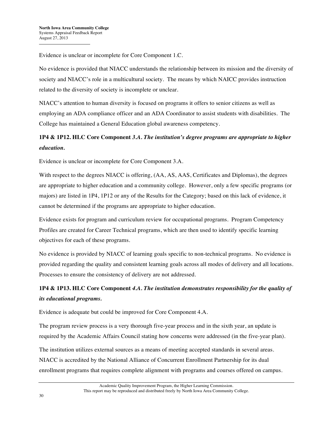Evidence is unclear or incomplete for Core Component 1.C.

No evidence is provided that NIACC understands the relationship between its mission and the diversity of society and NIACC's role in a multicultural society. The means by which NAICC provides instruction related to the diversity of society is incomplete or unclear.

NIACC's attention to human diversity is focused on programs it offers to senior citizens as well as employing an ADA compliance officer and an ADA Coordinator to assist students with disabilities. The College has maintained a General Education global awareness competency.

#### **1P4 & 1P12. HLC Core Component** *3.A. The institution's degree programs are appropriate to higher education.*

Evidence is unclear or incomplete for Core Component 3.A.

With respect to the degrees NIACC is offering,  $(AA, AS, AS,$  Certificates and Diplomas), the degrees are appropriate to higher education and a community college. However, only a few specific programs (or majors) are listed in 1P4, 1P12 or any of the Results for the Category; based on this lack of evidence, it cannot be determined if the programs are appropriate to higher education.

Evidence exists for program and curriculum review for occupational programs. Program Competency Profiles are created for Career Technical programs, which are then used to identify specific learning objectives for each of these programs.

No evidence is provided by NIACC of learning goals specific to non-technical programs. No evidence is provided regarding the quality and consistent learning goals across all modes of delivery and all locations. Processes to ensure the consistency of delivery are not addressed.

# **1P4 & 1P13. HLC Core Component** *4.A. The institution demonstrates responsibility for the quality of its educational programs.*

Evidence is adequate but could be improved for Core Component 4.A.

The program review process is a very thorough five-year process and in the sixth year, an update is required by the Academic Affairs Council stating how concerns were addressed (in the five-year plan).

The institution utilizes external sources as a means of meeting accepted standards in several areas. NIACC is accredited by the National Alliance of Concurrent Enrollment Partnership for its dual enrollment programs that requires complete alignment with programs and courses offered on campus.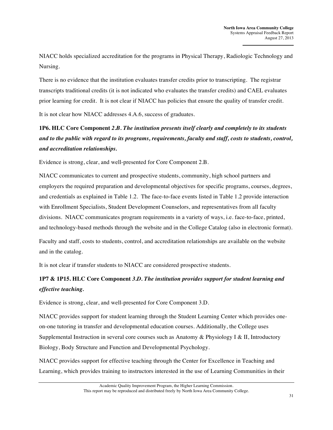NIACC holds specialized accreditation for the programs in Physical Therapy, Radiologic Technology and Nursing.

There is no evidence that the institution evaluates transfer credits prior to transcripting. The registrar transcripts traditional credits (it is not indicated who evaluates the transfer credits) and CAEL evaluates prior learning for credit. It is not clear if NIACC has policies that ensure the quality of transfer credit.

It is not clear how NIACC addresses 4.A.6, success of graduates.

# **1P6. HLC Core Component** *2.B. The institution presents itself clearly and completely to its students and to the public with regard to its programs, requirements, faculty and staff, costs to students, control, and accreditation relationships.*

Evidence is strong, clear, and well-presented for Core Component 2.B.

NIACC communicates to current and prospective students, community, high school partners and employers the required preparation and developmental objectives for specific programs, courses, degrees, and credentials as explained in Table 1.2. The face-to-face events listed in Table 1.2 provide interaction with Enrollment Specialists, Student Development Counselors, and representatives from all faculty divisions. NIACC communicates program requirements in a variety of ways, i.e. face-to-face, printed, and technology-based methods through the website and in the College Catalog (also in electronic format).

Faculty and staff, costs to students, control, and accreditation relationships are available on the website and in the catalog.

It is not clear if transfer students to NIACC are considered prospective students.

#### **1P7 & 1P15. HLC Core Component** *3.D. The institution provides support for student learning and effective teaching.*

Evidence is strong, clear, and well-presented for Core Component 3.D.

NIACC provides support for student learning through the Student Learning Center which provides oneon-one tutoring in transfer and developmental education courses. Additionally, the College uses Supplemental Instruction in several core courses such as Anatomy & Physiology I & II, Introductory Biology, Body Structure and Function and Developmental Psychology.

NIACC provides support for effective teaching through the Center for Excellence in Teaching and Learning, which provides training to instructors interested in the use of Learning Communities in their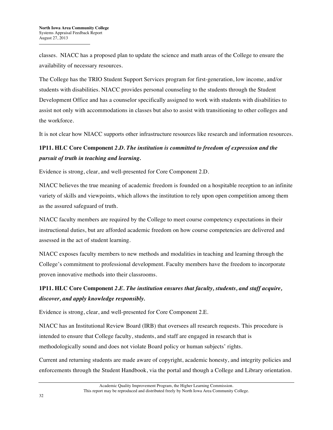classes. NIACC has a proposed plan to update the science and math areas of the College to ensure the availability of necessary resources.

The College has the TRIO Student Support Services program for first-generation, low income, and/or students with disabilities. NIACC provides personal counseling to the students through the Student Development Office and has a counselor specifically assigned to work with students with disabilities to assist not only with accommodations in classes but also to assist with transitioning to other colleges and the workforce.

It is not clear how NIACC supports other infrastructure resources like research and information resources.

## **1P11. HLC Core Component** *2.D. The institution is committed to freedom of expression and the pursuit of truth in teaching and learning.*

Evidence is strong, clear, and well-presented for Core Component 2.D.

NIACC believes the true meaning of academic freedom is founded on a hospitable reception to an infinite variety of skills and viewpoints, which allows the institution to rely upon open competition among them as the assured safeguard of truth.

NIACC faculty members are required by the College to meet course competency expectations in their instructional duties, but are afforded academic freedom on how course competencies are delivered and assessed in the act of student learning.

NIACC exposes faculty members to new methods and modalities in teaching and learning through the College's commitment to professional development. Faculty members have the freedom to incorporate proven innovative methods into their classrooms.

# **1P11. HLC Core Component** *2.E. The institution ensures that faculty, students, and staff acquire, discover, and apply knowledge responsibly.*

Evidence is strong, clear, and well-presented for Core Component 2.E.

NIACC has an Institutional Review Board (IRB) that oversees all research requests. This procedure is intended to ensure that College faculty, students, and staff are engaged in research that is methodologically sound and does not violate Board policy or human subjects' rights.

Current and returning students are made aware of copyright, academic honesty, and integrity policies and enforcements through the Student Handbook, via the portal and though a College and Library orientation.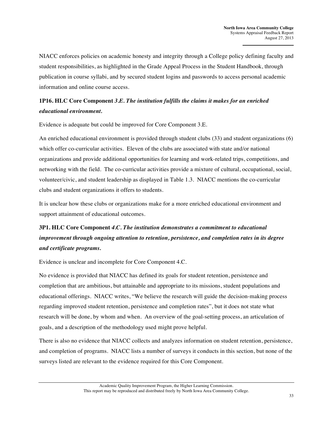NIACC enforces policies on academic honesty and integrity through a College policy defining faculty and student responsibilities, as highlighted in the Grade Appeal Process in the Student Handbook, through publication in course syllabi, and by secured student logins and passwords to access personal academic information and online course access.

#### **1P16. HLC Core Component** *3.E. The institution fulfills the claims it makes for an enriched educational environment.*

Evidence is adequate but could be improved for Core Component 3.E.

An enriched educational environment is provided through student clubs (33) and student organizations (6) which offer co-curricular activities. Eleven of the clubs are associated with state and/or national organizations and provide additional opportunities for learning and work-related trips, competitions, and networking with the field. The co-curricular activities provide a mixture of cultural, occupational, social, volunteer/civic, and student leadership as displayed in Table 1.3. NIACC mentions the co-curricular clubs and student organizations it offers to students.

It is unclear how these clubs or organizations make for a more enriched educational environment and support attainment of educational outcomes.

# **3P1. HLC Core Component** *4.C. The institution demonstrates a commitment to educational improvement through ongoing attention to retention, persistence, and completion rates in its degree and certificate programs.*

Evidence is unclear and incomplete for Core Component 4.C.

No evidence is provided that NIACC has defined its goals for student retention, persistence and completion that are ambitious, but attainable and appropriate to its missions, student populations and educational offerings. NIACC writes, "We believe the research will guide the decision-making process regarding improved student retention, persistence and completion rates", but it does not state what research will be done, by whom and when. An overview of the goal-setting process, an articulation of goals, and a description of the methodology used might prove helpful.

There is also no evidence that NIACC collects and analyzes information on student retention, persistence, and completion of programs. NIACC lists a number of surveys it conducts in this section, but none of the surveys listed are relevant to the evidence required for this Core Component.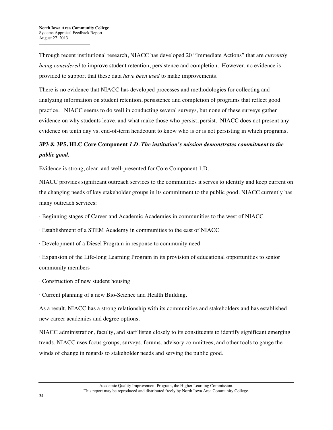Through recent institutional research, NIACC has developed 20 "Immediate Actions" that are *currently being considered* to improve student retention, persistence and completion. However, no evidence is provided to support that these data *have been used* to make improvements.

There is no evidence that NIACC has developed processes and methodologies for collecting and analyzing information on student retention, persistence and completion of programs that reflect good practice. NIACC seems to do well in conducting several surveys, but none of these surveys gather evidence on why students leave, and what make those who persist, persist. NIACC does not present any evidence on tenth day vs. end-of-term headcount to know who is or is not persisting in which programs.

#### **3P3 & 3P5. HLC Core Component** *1.D. The institution's mission demonstrates commitment to the public good.*

Evidence is strong, clear, and well-presented for Core Component 1.D.

NIACC provides significant outreach services to the communities it serves to identify and keep current on the changing needs of key stakeholder groups in its commitment to the public good. NIACC currently has many outreach services:

· Beginning stages of Career and Academic Academies in communities to the west of NIACC

· Establishment of a STEM Academy in communities to the east of NIACC

· Development of a Diesel Program in response to community need

· Expansion of the Life-long Learning Program in its provision of educational opportunities to senior community members

· Construction of new student housing

· Current planning of a new Bio-Science and Health Building.

As a result, NIACC has a strong relationship with its communities and stakeholders and has established new career academies and degree options.

NIACC administration, faculty, and staff listen closely to its constituents to identify significant emerging trends. NIACC uses focus groups, surveys, forums, advisory committees, and other tools to gauge the winds of change in regards to stakeholder needs and serving the public good.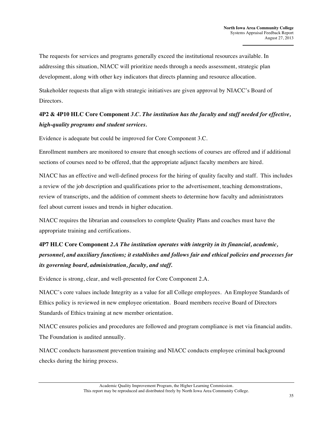The requests for services and programs generally exceed the institutional resources available. In addressing this situation, NIACC will prioritize needs through a needs assessment, strategic plan development, along with other key indicators that directs planning and resource allocation.

Stakeholder requests that align with strategic initiatives are given approval by NIACC's Board of Directors.

#### **4P2 & 4P10 HLC Core Component** *3.C. The institution has the faculty and staff needed for effective, high-quality programs and student services.*

Evidence is adequate but could be improved for Core Component 3.C.

Enrollment numbers are monitored to ensure that enough sections of courses are offered and if additional sections of courses need to be offered, that the appropriate adjunct faculty members are hired.

NIACC has an effective and well-defined process for the hiring of quality faculty and staff. This includes a review of the job description and qualifications prior to the advertisement, teaching demonstrations, review of transcripts, and the addition of comment sheets to determine how faculty and administrators feel about current issues and trends in higher education.

NIACC requires the librarian and counselors to complete Quality Plans and coaches must have the appropriate training and certifications.

# **4P7 HLC Core Component** *2.A The institution operates with integrity in its financial, academic, personnel, and auxiliary functions; it establishes and follows fair and ethical policies and processes for its governing board, administration, faculty, and staff.*

Evidence is strong, clear, and well-presented for Core Component 2.A.

NIACC's core values include Integrity as a value for all College employees. An Employee Standards of Ethics policy is reviewed in new employee orientation. Board members receive Board of Directors Standards of Ethics training at new member orientation.

NIACC ensures policies and procedures are followed and program compliance is met via financial audits. The Foundation is audited annually.

NIACC conducts harassment prevention training and NIACC conducts employee criminal background checks during the hiring process.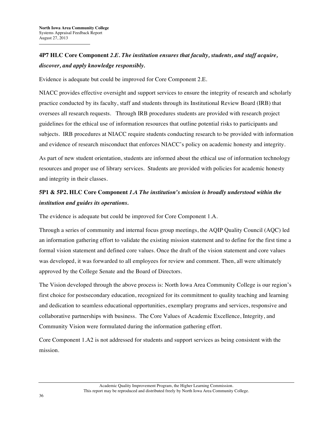# **4P7 HLC Core Component** *2.E. The institution ensures that faculty, students, and staff acquire, discover, and apply knowledge responsibly.*

Evidence is adequate but could be improved for Core Component 2.E.

NIACC provides effective oversight and support services to ensure the integrity of research and scholarly practice conducted by its faculty, staff and students through its Institutional Review Board (IRB) that oversees all research requests. Through IRB procedures students are provided with research project guidelines for the ethical use of information resources that outline potential risks to participants and subjects. IRB procedures at NIACC require students conducting research to be provided with information and evidence of research misconduct that enforces NIACC's policy on academic honesty and integrity.

As part of new student orientation, students are informed about the ethical use of information technology resources and proper use of library services. Students are provided with policies for academic honesty and integrity in their classes.

#### **5P1 & 5P2. HLC Core Component** *1.A The institution's mission is broadly understood within the institution and guides its operations.*

The evidence is adequate but could be improved for Core Component 1.A.

Through a series of community and internal focus group meetings, the AQIP Quality Council (AQC) led an information gathering effort to validate the existing mission statement and to define for the first time a formal vision statement and defined core values. Once the draft of the vision statement and core values was developed, it was forwarded to all employees for review and comment. Then, all were ultimately approved by the College Senate and the Board of Directors.

The Vision developed through the above process is: North Iowa Area Community College is our region's first choice for postsecondary education, recognized for its commitment to quality teaching and learning and dedication to seamless educational opportunities, exemplary programs and services, responsive and collaborative partnerships with business. The Core Values of Academic Excellence, Integrity, and Community Vision were formulated during the information gathering effort.

Core Component 1.A2 is not addressed for students and support services as being consistent with the mission.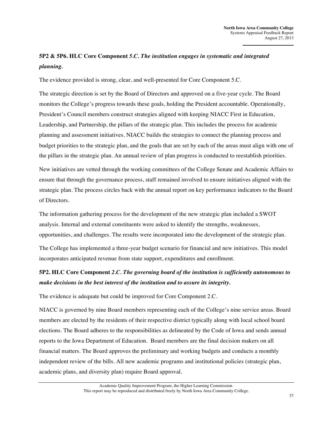## **5P2 & 5P6. HLC Core Component** *5.C. The institution engages in systematic and integrated planning.*

The evidence provided is strong, clear, and well-presented for Core Component 5.C.

The strategic direction is set by the Board of Directors and approved on a five-year cycle. The Board monitors the College's progress towards these goals, holding the President accountable. Operationally, President's Council members construct strategies aligned with keeping NIACC First in Education, Leadership, and Partnership, the pillars of the strategic plan. This includes the process for academic planning and assessment initiatives. NIACC builds the strategies to connect the planning process and budget priorities to the strategic plan, and the goals that are set by each of the areas must align with one of the pillars in the strategic plan. An annual review of plan progress is conducted to reestablish priorities.

New initiatives are vetted through the working committees of the College Senate and Academic Affairs to ensure that through the governance process, staff remained involved to ensure initiatives aligned with the strategic plan. The process circles back with the annual report on key performance indicators to the Board of Directors.

The information gathering process for the development of the new strategic plan included a SWOT analysis. Internal and external constituents were asked to identify the strengths, weaknesses, opportunities, and challenges. The results were incorporated into the development of the strategic plan.

The College has implemented a three-year budget scenario for financial and new initiatives. This model incorporates anticipated revenue from state support, expenditures and enrollment.

#### **5P2. HLC Core Component** *2.C. The governing board of the institution is sufficiently autonomous to make decisions in the best interest of the institution and to assure its integrity.*

The evidence is adequate but could be improved for Core Component 2.C.

NIACC is governed by nine Board members representing each of the College's nine service areas. Board members are elected by the residents of their respective district typically along with local school board elections. The Board adheres to the responsibilities as delineated by the Code of Iowa and sends annual reports to the Iowa Department of Education. Board members are the final decision makers on all financial matters. The Board approves the preliminary and working budgets and conducts a monthly independent review of the bills. All new academic programs and institutional policies (strategic plan, academic plans, and diversity plan) require Board approval.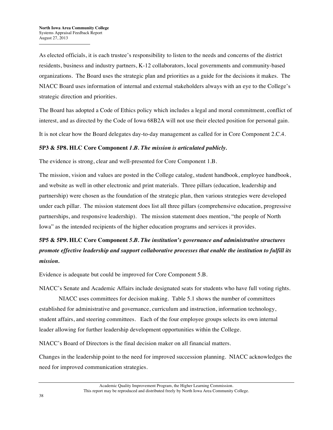As elected officials, it is each trustee's responsibility to listen to the needs and concerns of the district residents, business and industry partners, K-12 collaborators, local governments and community-based organizations. The Board uses the strategic plan and priorities as a guide for the decisions it makes. The NIACC Board uses information of internal and external stakeholders always with an eye to the College's strategic direction and priorities.

The Board has adopted a Code of Ethics policy which includes a legal and moral commitment, conflict of interest, and as directed by the Code of Iowa 68B2A will not use their elected position for personal gain.

It is not clear how the Board delegates day-to-day management as called for in Core Component 2.C.4.

#### **5P3 & 5P8. HLC Core Component** *1.B. The mission is articulated publicly.*

The evidence is strong, clear and well-presented for Core Component 1.B.

The mission, vision and values are posted in the College catalog, student handbook, employee handbook, and website as well in other electronic and print materials. Three pillars (education, leadership and partnership) were chosen as the foundation of the strategic plan, then various strategies were developed under each pillar. The mission statement does list all three pillars (comprehensive education, progressive partnerships, and responsive leadership). The mission statement does mention, "the people of North Iowa" as the intended recipients of the higher education programs and services it provides.

## **5P5 & 5P9. HLC Core Component** *5.B. The institution's governance and administrative structures promote effective leadership and support collaborative processes that enable the institution to fulfill its mission.*

Evidence is adequate but could be improved for Core Component 5.B.

NIACC's Senate and Academic Affairs include designated seats for students who have full voting rights.

NIACC uses committees for decision making. Table 5.1 shows the number of committees established for administrative and governance, curriculum and instruction, information technology, student affairs, and steering committees. Each of the four employee groups selects its own internal leader allowing for further leadership development opportunities within the College.

NIACC's Board of Directors is the final decision maker on all financial matters.

Changes in the leadership point to the need for improved succession planning. NIACC acknowledges the need for improved communication strategies.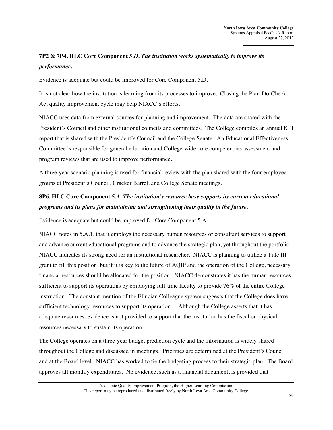# **7P2 & 7P4. HLC Core Component** *5.D. The institution works systematically to improve its performance.*

Evidence is adequate but could be improved for Core Component 5.D.

It is not clear how the institution is learning from its processes to improve. Closing the Plan-Do-Check-Act quality improvement cycle may help NIACC's efforts.

NIACC uses data from external sources for planning and improvement. The data are shared with the President's Council and other institutional councils and committees. The College compiles an annual KPI report that is shared with the President's Council and the College Senate. An Educational Effectiveness Committee is responsible for general education and College-wide core competencies assessment and program reviews that are used to improve performance.

A three-year scenario planning is used for financial review with the plan shared with the four employee groups at President's Council, Cracker Barrel, and College Senate meetings.

#### **8P6. HLC Core Component 5***.A. The institution's resource base supports its current educational programs and its plans for maintaining and strengthening their quality in the future.*

Evidence is adequate but could be improved for Core Component 5.A.

NIACC notes in 5.A.1. that it employs the necessary human resources or consultant services to support and advance current educational programs and to advance the strategic plan, yet throughout the portfolio NIACC indicates its strong need for an institutional researcher. NIACC is planning to utilize a Title III grant to fill this position, but if it is key to the future of AQIP and the operation of the College, necessary financial resources should be allocated for the position. NIACC demonstrates it has the human resources sufficient to support its operations by employing full-time faculty to provide 76% of the entire College instruction. The constant mention of the Ellucian Colleague system suggests that the College does have sufficient technology resources to support its operation. Although the College asserts that it has adequate resources, evidence is not provided to support that the institution has the fiscal or physical resources necessary to sustain its operation.

The College operates on a three-year budget prediction cycle and the information is widely shared throughout the College and discussed in meetings. Priorities are determined at the President's Council and at the Board level. NIACC has worked to tie the budgeting process to their strategic plan. The Board approves all monthly expenditures. No evidence, such as a financial document, is provided that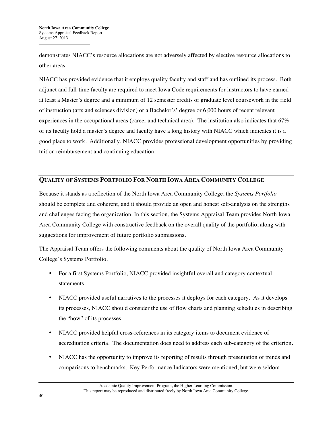demonstrates NIACC's resource allocations are not adversely affected by elective resource allocations to other areas.

NIACC has provided evidence that it employs quality faculty and staff and has outlined its process. Both adjunct and full-time faculty are required to meet Iowa Code requirements for instructors to have earned at least a Master's degree and a minimum of 12 semester credits of graduate level coursework in the field of instruction (arts and sciences division) or a Bachelor's' degree or 6,000 hours of recent relevant experiences in the occupational areas (career and technical area). The institution also indicates that 67% of its faculty hold a master's degree and faculty have a long history with NIACC which indicates it is a good place to work. Additionally, NIACC provides professional development opportunities by providing tuition reimbursement and continuing education.

#### **QUALITY OF SYSTEMS PORTFOLIO FOR NORTH IOWA AREA COMMUNITY COLLEGE**

Because it stands as a reflection of the North Iowa Area Community College, the *Systems Portfolio* should be complete and coherent, and it should provide an open and honest self-analysis on the strengths and challenges facing the organization. In this section, the Systems Appraisal Team provides North Iowa Area Community College with constructive feedback on the overall quality of the portfolio, along with suggestions for improvement of future portfolio submissions.

The Appraisal Team offers the following comments about the quality of North Iowa Area Community College's Systems Portfolio.

- For a first Systems Portfolio, NIACC provided insightful overall and category contextual statements.
- NIACC provided useful narratives to the processes it deploys for each category. As it develops its processes, NIACC should consider the use of flow charts and planning schedules in describing the "how" of its processes.
- NIACC provided helpful cross-references in its category items to document evidence of accreditation criteria. The documentation does need to address each sub-category of the criterion.
- NIACC has the opportunity to improve its reporting of results through presentation of trends and comparisons to benchmarks. Key Performance Indicators were mentioned, but were seldom